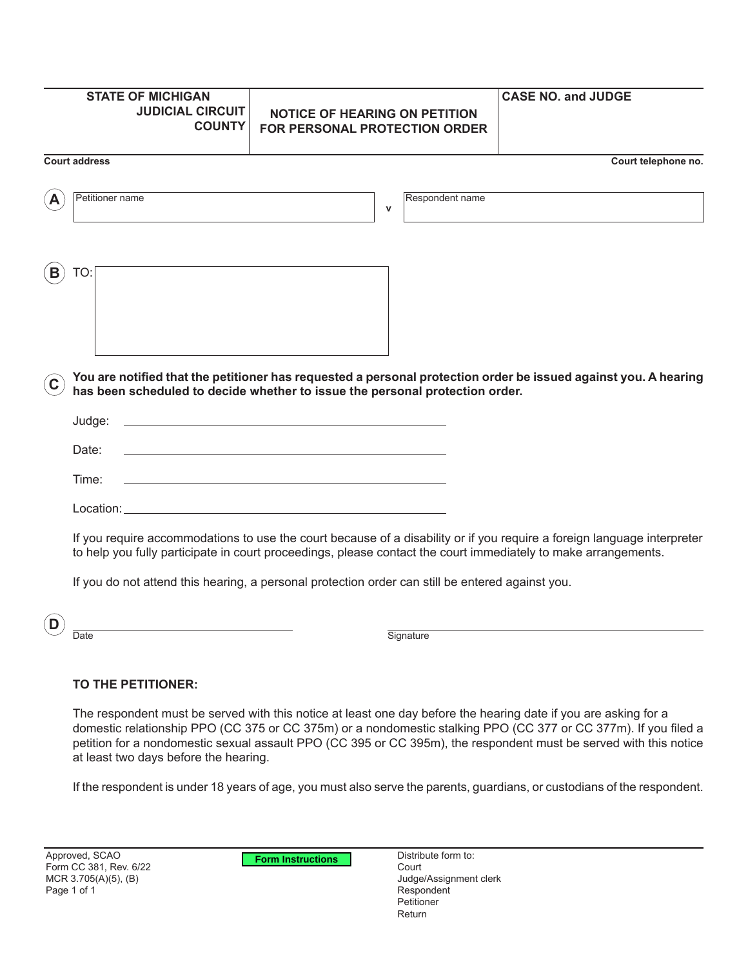| <b>STATE OF MICHIGAN</b><br><b>JUDICIAL CIRCUIT</b><br><b>COUNTY</b> | <b>NOTICE OF HEARING ON PETITION</b><br><b>FOR PERSONAL PROTECTION ORDER</b>                                                                                                                                                              | <b>CASE NO. and JUDGE</b> |
|----------------------------------------------------------------------|-------------------------------------------------------------------------------------------------------------------------------------------------------------------------------------------------------------------------------------------|---------------------------|
| <b>Court address</b>                                                 |                                                                                                                                                                                                                                           | Court telephone no.       |
| Petitioner name                                                      | Respondent name<br>$\mathbf v$                                                                                                                                                                                                            |                           |
| TO:                                                                  |                                                                                                                                                                                                                                           |                           |
|                                                                      | You are notified that the petitioner has requested a personal protection order be issued against you. A hearing<br>has been scheduled to decide whether to issue the personal protection order.                                           |                           |
| Judge:                                                               | <u> 1980 - Johann Barn, amerikansk politiker (d. 1980)</u>                                                                                                                                                                                |                           |
| Date:                                                                | <u> 1989 - Johann Stein, marwolaethau a bhann an t-Amhair an t-Amhair an t-Amhair an t-Amhair an t-Amhair an t-A</u>                                                                                                                      |                           |
| Time:                                                                | <u> 1980 - Johann Barn, amerikan bestemannten bestemannten bestemannten bestemannten bestemannten bestemannten b</u>                                                                                                                      |                           |
|                                                                      |                                                                                                                                                                                                                                           |                           |
|                                                                      | If you require accommodations to use the court because of a disability or if you require a foreign language interpreter<br>to help you fully participate in court proceedings, please contact the court immediately to make arrangements. |                           |
|                                                                      | If you do not attend this hearing, a personal protection order can still be entered against you.                                                                                                                                          |                           |

**D**

Date Signature

## **TO THE PETITIONER:**

The respondent must be served with this notice at least one day before the hearing date if you are asking for a domestic relationship PPO (CC 375 or CC 375m) or a nondomestic stalking PPO (CC 377 or CC 377m). If you filed a petition for a nondomestic sexual assault PPO (CC 395 or CC 395m), the respondent must be served with this notice at least two days before the hearing.

If the respondent is under 18 years of age, you must also serve the parents, guardians, or custodians of the respondent.

**Form Instructions**

Distribute form to: Court Judge/Assignment clerk Respondent Petitioner Return